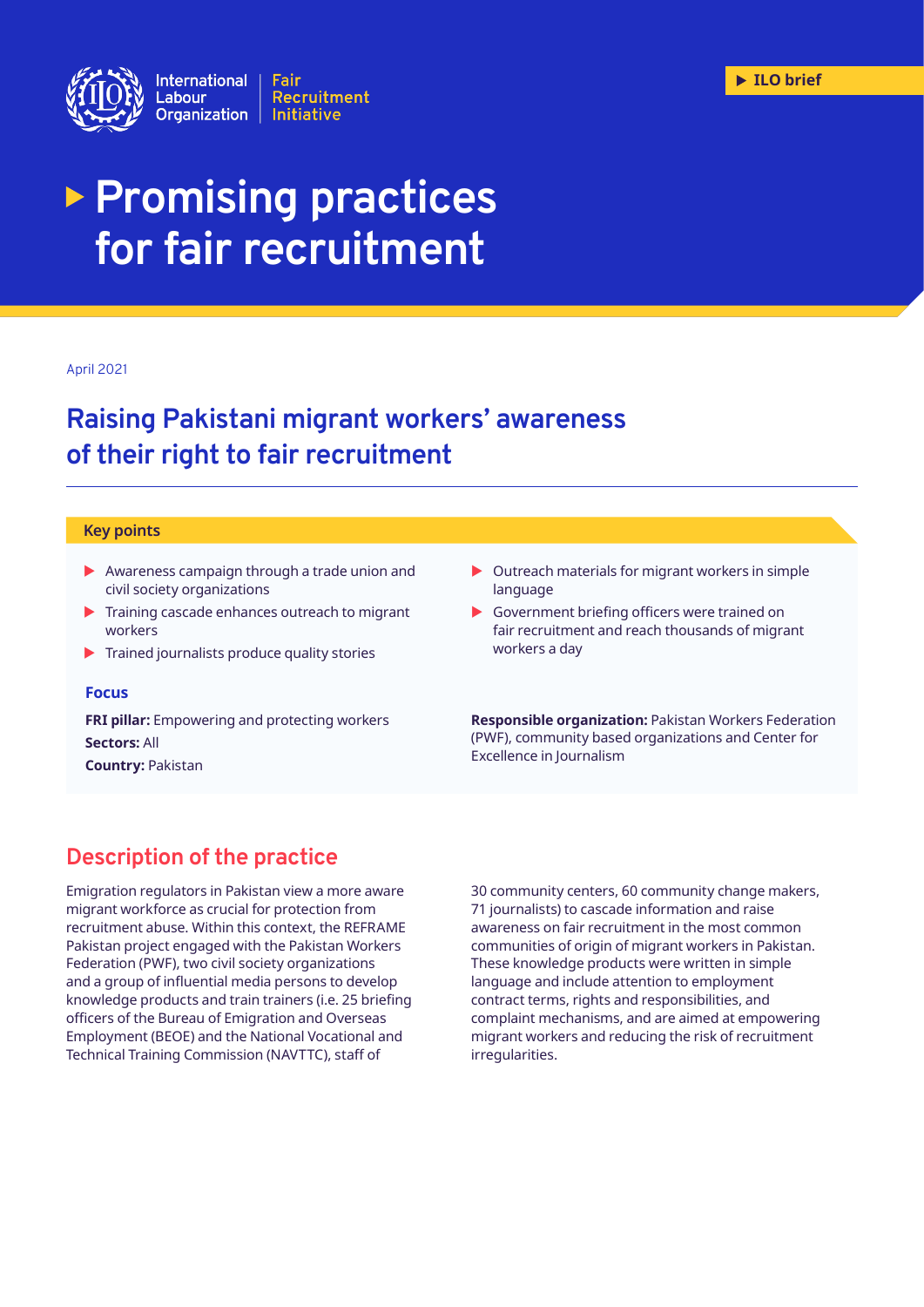

# **Promising practices for fair recruitment**

#### April 2021

## **Raising Pakistani migrant workers' awareness of their right to fair recruitment**

#### **Key points**

- $\blacktriangleright$  Awareness campaign through a trade union and civil society organizations
- Training cascade enhances outreach to migrant workers
- $\blacktriangleright$  Trained journalists produce quality stories

#### **Focus**

**FRI pillar:** Empowering and protecting workers **Sectors:** All **Country:** Pakistan

- $\triangleright$  Outreach materials for migrant workers in simple language
- $\blacktriangleright$  Government briefing officers were trained on fair recruitment and reach thousands of migrant workers a day

**Responsible organization:** Pakistan Workers Federation (PWF), community based organizations and Center for Excellence in Journalism

## **Description of the practice**

Emigration regulators in Pakistan view a more aware migrant workforce as crucial for protection from recruitment abuse. Within this context, the REFRAME Pakistan project engaged with the Pakistan Workers Federation (PWF), two civil society organizations and a group of influential media persons to develop knowledge products and train trainers (i.e. 25 briefing officers of the Bureau of Emigration and Overseas Employment (BEOE) and the National Vocational and Technical Training Commission (NAVTTC), staff of

30 community centers, 60 community change makers, 71 journalists) to cascade information and raise awareness on fair recruitment in the most common communities of origin of migrant workers in Pakistan. These knowledge products were written in simple language and include attention to employment contract terms, rights and responsibilities, and complaint mechanisms, and are aimed at empowering migrant workers and reducing the risk of recruitment irregularities.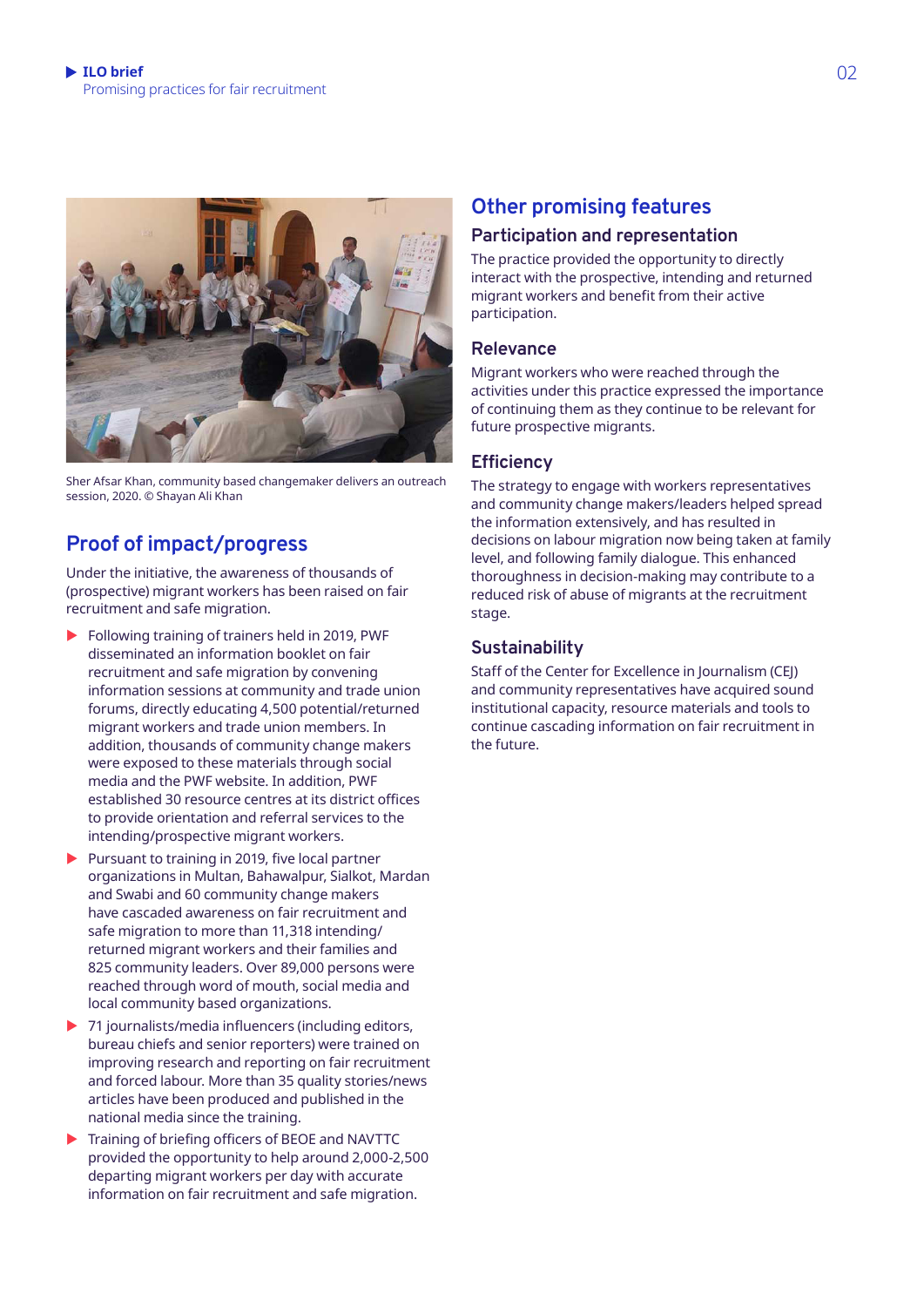

Sher Afsar Khan, community based changemaker delivers an outreach session, 2020. © Shayan Ali Khan

## **Proof of impact/progress**

Under the initiative, the awareness of thousands of (prospective) migrant workers has been raised on fair recruitment and safe migration.

- $\blacktriangleright$  Following training of trainers held in 2019, PWF disseminated an information booklet on fair recruitment and safe migration by convening information sessions at community and trade union forums, directly educating 4,500 potential/returned migrant workers and trade union members. In addition, thousands of community change makers were exposed to these materials through social media and the PWF website. In addition, PWF established 30 resource centres at its district offices to provide orientation and referral services to the intending/prospective migrant workers.
- $\blacktriangleright$  Pursuant to training in 2019, five local partner organizations in Multan, Bahawalpur, Sialkot, Mardan and Swabi and 60 community change makers have cascaded awareness on fair recruitment and safe migration to more than 11,318 intending/ returned migrant workers and their families and 825 community leaders. Over 89,000 persons were reached through word of mouth, social media and local community based organizations.
- $\triangleright$  71 journalists/media influencers (including editors, bureau chiefs and senior reporters) were trained on improving research and reporting on fair recruitment and forced labour. More than 35 quality stories/news articles have been produced and published in the national media since the training.
- $\blacktriangleright$  Training of briefing officers of BEOE and NAVTTC provided the opportunity to help around 2,000-2,500 departing migrant workers per day with accurate information on fair recruitment and safe migration.

## **Other promising features**

## **Participation and representation**

The practice provided the opportunity to directly interact with the prospective, intending and returned migrant workers and benefit from their active participation.

## **Relevance**

Migrant workers who were reached through the activities under this practice expressed the importance of continuing them as they continue to be relevant for future prospective migrants.

## **Efficiency**

The strategy to engage with workers representatives and community change makers/leaders helped spread the information extensively, and has resulted in decisions on labour migration now being taken at family level, and following family dialogue. This enhanced thoroughness in decision-making may contribute to a reduced risk of abuse of migrants at the recruitment stage.

## **Sustainability**

Staff of the Center for Excellence in Journalism (CEJ) and community representatives have acquired sound institutional capacity, resource materials and tools to continue cascading information on fair recruitment in the future.